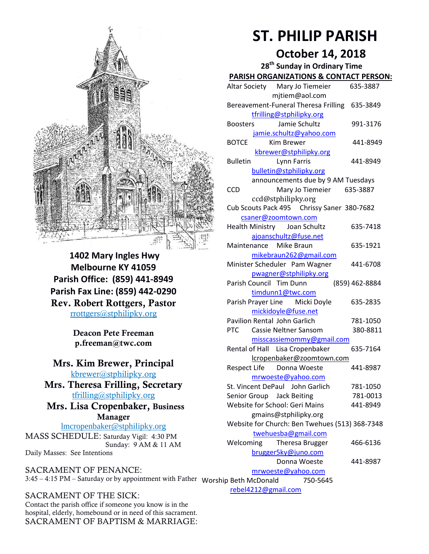

**1402 Mary Ingles Hwy Melbourne KY 41059 Parish Office: (859) 441-8949 Parish Fax Line: (859) 442-0290** Rev. Robert Rottgers, Pastor [rrottgers@stphilipky.org](mailto:rrottgers@stphilipky.org)

> Deacon Pete Freeman p.freeman@twc.com

#### Mrs. Kim Brewer, Principal [kbrewer@stphilipky.org](mailto:kbrewer@stphilipky.org)

Mrs. Theresa Frilling, Secretary [tfrilling@stphilipky.org](mailto:tfrilling@stphilipky.org)

 Mrs. Lisa Cropenbaker, Business Manager

lmcropenbaker@stphilipky.org MASS SCHEDULE: Saturday Vigil: 4:30 PM Sunday: 9 AM & 11 AM Daily Masses: See Intentions

SACRAMENT OF PENANCE: 3:45 – 4:15 PM – Saturday or by appointment with Father Worship Beth McDonald 750-5645

SACRAMENT OF THE SICK: Contact the parish office if someone you know is in the hospital, elderly, homebound or in need of this sacrament. SACRAMENT OF BAPTISM & MARRIAGE:

# **ST. PHILIP PARISH**

# **October 14, 2018**

| 28 <sup>th</sup> Sunday in Ordinary Time            |                |
|-----------------------------------------------------|----------------|
| <b>PARISH ORGANIZATIONS &amp; CONTACT PERSON:</b>   |                |
| Altar Society Mary Jo Tiemeier                      | 635-3887       |
| mjtiem@aol.com                                      |                |
| Bereavement-Funeral Theresa Frilling 635-3849       |                |
| tfrilling@stphilipky.org                            |                |
| Jamie Schultz<br><b>Boosters</b>                    | 991-3176       |
| jamie.schultz@yahoo.com                             |                |
| <b>BOTCE</b><br>Kim Brewer                          | 441-8949       |
| kbrewer@stphilipky.org                              |                |
| <b>Bulletin</b><br>Lynn Farris                      | 441-8949       |
| bulletin@stphilipky.org                             |                |
| announcements due by 9 AM Tuesdays                  |                |
| <b>CCD</b><br>Mary Jo Tiemeier                      | 635-3887       |
| ccd@stphilipky.org                                  |                |
| Cub Scouts Pack 495 Chrissy Saner 380-7682          |                |
| csaner@zoomtown.com<br>Health Ministry Joan Schultz | 635-7418       |
| ajoanschultz@fuse.net                               |                |
| Maintenance Mike Braun                              | 635-1921       |
| mikebraun262@gmail.com                              |                |
| Minister Scheduler Pam Wagner                       | 441-6708       |
| pwagner@stphilipky.org                              |                |
| Parish Council Tim Dunn                             | (859) 462-8884 |
| timdunn1@twc.com                                    |                |
| Parish Prayer Line Micki Doyle                      | 635-2835       |
| mickidoyle@fuse.net                                 |                |
| <b>Pavilion Rental John Garlich</b>                 | 781-1050       |
| <b>PTC</b><br>Cassie Neltner Sansom                 | 380-8811       |
| misscassiemommy@gmail.com                           |                |
| Rental of Hall Lisa Cropenbaker                     | 635-7164       |
| lcropenbaker@zoomtown.com                           |                |
| Respect Life Donna Woeste                           | 441-8987       |
| mrwoeste@yahoo.com                                  |                |
| St. Vincent DePaul John Garlich                     | 781-1050       |
| Senior Group Jack Beiting                           | 781-0013       |
| Website for School: Geri Mains                      | 441-8949       |
| gmains@stphilipky.org                               |                |
| Website for Church: Ben Twehues (513) 368-7348      |                |
| twehuesba@gmail.com                                 |                |
| Welcoming<br><b>Theresa Brugger</b>                 | 466-6136       |
| brugger5ky@juno.com                                 |                |
| Donna Woeste                                        | 441-8987       |
| mrwoeste@yahoo.com                                  |                |
| ip Beth McDonald 750-5645                           |                |

[rebel4212@gmail.com](mailto:trebel4212@gmail.com)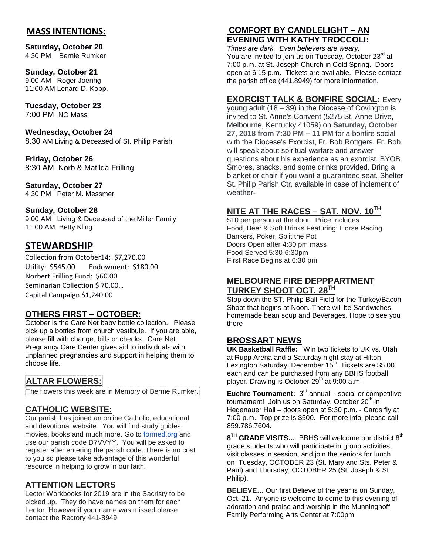#### **MASS INTENTIONS:**

**Saturday, October 20** 4:30 PM Bernie Rumker

#### **Sunday, October 21** 9:00 AM Roger Joering 11:00 AM Lenard D. Kopp..

#### **Tuesday, October 23** 7:00 PM NO Mass

**Wednesday, October 24** 8:30 AM Living & Deceased of St. Philip Parish

**Friday, October 26** 8:30 AMNorb & Matilda Frilling

#### **Saturday, October 27**

4:30 PM Peter M. Messmer

#### **Sunday, October 28**

9:00 AM Living & Deceased of the Miller Family 11:00 AM Betty Kling

## **STEWARDSHIP**

Collection from October14: \$7,270.00 Utility: \$545.00 Endowment: \$180.00 Norbert Frilling Fund: \$60.00 Seminarian Collection \$ 70.00… Capital Campaign \$1,240.00

### **OTHERS FIRST – OCTOBER:**

October is the Care Net baby bottle collection. Please pick up a bottles from church vestibule. If you are able, please fill with change, bills or checks. Care Net Pregnancy Care Center gives aid to individuals with unplanned pregnancies and support in helping them to choose life.

## **ALTAR FLOWERS:**

The flowers this week are in Memory of Bernie Rumker.

### **CATHOLIC WEBSITE:**

Our parish has joined an online Catholic, educational and devotional website. You will find study guides, movies, books and much more. Go to [formed.org](http://formed.org/) and use our parish code D7VVYY. You will be asked to register after entering the parish code. There is no cost to you so please take advantage of this wonderful resource in helping to grow in our faith.

#### **ATTENTION LECTORS**

Lector Workbooks for 2019 are in the Sacristy to be picked up. They do have names on them for each Lector. However if your name was missed please contact the Rectory 441-8949

## **COMFORT BY CANDLELIGHT – AN EVENING WITH KATHY TROCCOLI:**

*Times are dark. Even believers are weary.*  You are invited to join us on Tuesday, October 23<sup>rd</sup> at 7:00 p.m. at St. Joseph Church in Cold Spring. Doors open at 6:15 p.m. Tickets are available. Please contact the parish office (441.8949) for more information.

#### **EXORCIST TALK & BONFIRE SOCIAL:** Every

young adult  $(18 - 39)$  in the Diocese of Covington is invited to St. Anne's Convent (5275 St. Anne Drive, Melbourne, Kentucky 41059) on **Saturday, October 27, 2018 from 7:30 PM – 11 PM** for a bonfire social with the Diocese's Exorcist, Fr. Bob Rottgers. Fr. Bob will speak about spiritual warfare and answer questions about his experience as an exorcist. BYOB. Smores, snacks, and some drinks provided. Bring a blanket or chair if you want a guaranteed seat. Shelter St. Philip Parish Ctr. available in case of inclement of weather-

## **NITE AT THE RACES – SAT. NOV. 10TH**

\$10 per person at the door. Price Includes: Food, Beer & Soft Drinks Featuring: Horse Racing. Bankers, Poker, Split the Pot Doors Open after 4:30 pm mass Food Served 5:30-6:30pm First Race Begins at 6:30 pm

#### **MELBOURNE FIRE DEPPPARTMENT TURKEY SHOOT OCT. 28TH**

Stop down the ST. Philip Ball Field for the Turkey/Bacon Shoot that begins at Noon. There will be Sandwiches, homemade bean soup and Beverages. Hope to see you there

#### **BROSSART NEWS**

**UK Basketball Raffle:** Win two tickets to UK vs. Utah at Rupp Arena and a Saturday night stay at Hilton Lexington Saturday, December 15<sup>th</sup>. Tickets are \$5.00 each and can be purchased from any BBHS football player. Drawing is October 29<sup>th</sup> at 9:00 a.m.

**Euchre Tournament:** 3<sup>rd</sup> annual – social or competitive tournament! Join us on Saturday, October 20<sup>th</sup> in Hegenauer Hall – doors open at 5:30 p.m. - Cards fly at 7:00 p.m. Top prize is \$500. For more info, please call 859.786.7604.

**8TH GRADE VISITS…** BBHS will welcome our district 8th grade students who will participate in group activities, visit classes in session, and join the seniors for lunch on Tuesday, OCTOBER 23 (St. Mary and Sts. Peter & Paul) and Thursday, OCTOBER 25 (St. Joseph & St. Philip).

**BELIEVE…** Our first Believe of the year is on Sunday, Oct. 21. Anyone is welcome to come to this evening of adoration and praise and worship in the Munninghoff Family Performing Arts Center at 7:00pm